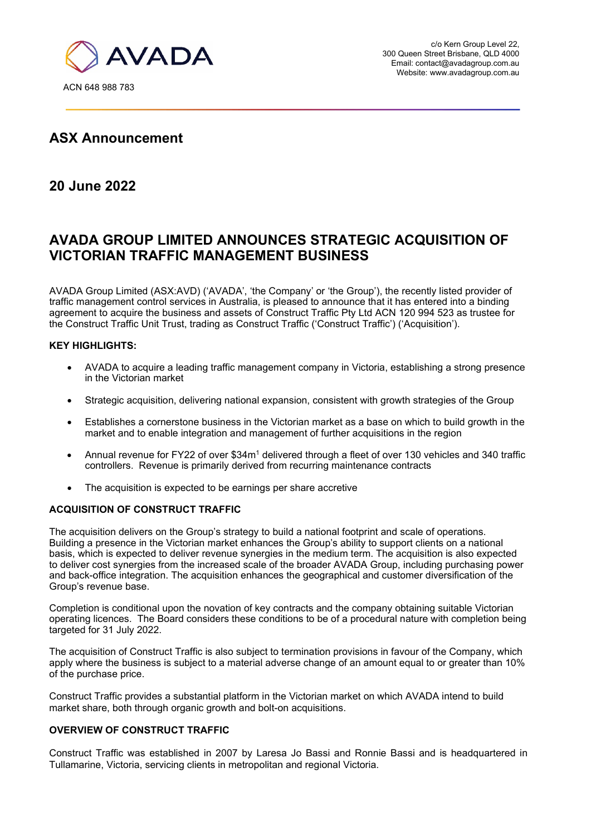

## **ASX Announcement**

## **20 June 2022**

# **AVADA GROUP LIMITED ANNOUNCES STRATEGIC ACQUISITION OF VICTORIAN TRAFFIC MANAGEMENT BUSINESS**

AVADA Group Limited (ASX:AVD) ('AVADA', 'the Company' or 'the Group'), the recently listed provider of traffic management control services in Australia, is pleased to announce that it has entered into a binding agreement to acquire the business and assets of Construct Traffic Pty Ltd ACN 120 994 523 as trustee for the Construct Traffic Unit Trust, trading as Construct Traffic ('Construct Traffic') ('Acquisition').

#### **KEY HIGHLIGHTS:**

- AVADA to acquire a leading traffic management company in Victoria, establishing a strong presence in the Victorian market
- Strategic acquisition, delivering national expansion, consistent with growth strategies of the Group
- Establishes a cornerstone business in the Victorian market as a base on which to build growth in the market and to enable integration and management of further acquisitions in the region
- Annual revenue for FY22 of over \$34m<sup>1</sup> delivered through a fleet of over 130 vehicles and 340 traffic controllers. Revenue is primarily derived from recurring maintenance contracts
- The acquisition is expected to be earnings per share accretive

#### **ACQUISITION OF CONSTRUCT TRAFFIC**

The acquisition delivers on the Group's strategy to build a national footprint and scale of operations. Building a presence in the Victorian market enhances the Group's ability to support clients on a national basis, which is expected to deliver revenue synergies in the medium term. The acquisition is also expected to deliver cost synergies from the increased scale of the broader AVADA Group, including purchasing power and back-office integration. The acquisition enhances the geographical and customer diversification of the Group's revenue base.

Completion is conditional upon the novation of key contracts and the company obtaining suitable Victorian operating licences. The Board considers these conditions to be of a procedural nature with completion being targeted for 31 July 2022.

The acquisition of Construct Traffic is also subject to termination provisions in favour of the Company, which apply where the business is subject to a material adverse change of an amount equal to or greater than 10% of the purchase price.

Construct Traffic provides a substantial platform in the Victorian market on which AVADA intend to build market share, both through organic growth and bolt-on acquisitions.

#### **OVERVIEW OF CONSTRUCT TRAFFIC**

Construct Traffic was established in 2007 by Laresa Jo Bassi and Ronnie Bassi and is headquartered in Tullamarine, Victoria, servicing clients in metropolitan and regional Victoria.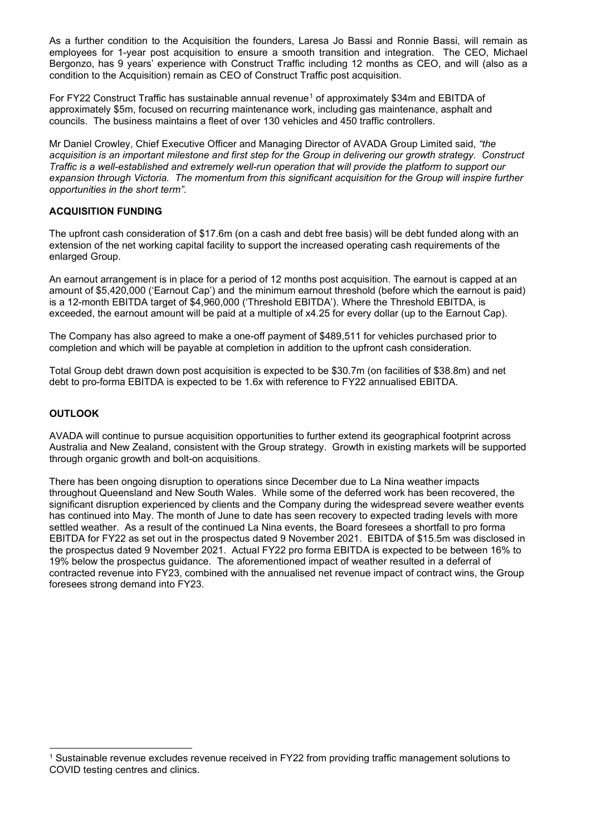As a further condition to the Acquisition the founders, Laresa Jo Bassi and Ronnie Bassi, will remain as employees for 1-year post acquisition to ensure a smooth transition and integration. The CEO, Michael Bergonzo, has 9 years' experience with Construct Traffic including 12 months as CEO, and will (also as a condition to the Acquisition) remain as CEO of Construct Traffic post acquisition.

For FY22 Construct Traffic has sustainable annual revenue<sup>[1](#page-1-0)</sup> of approximately \$34m and EBITDA of approximately \$5m, focused on recurring maintenance work, including gas maintenance, asphalt and councils. The business maintains a fleet of over 130 vehicles and 450 traffic controllers.

Mr Daniel Crowley, Chief Executive Officer and Managing Director of AVADA Group Limited said, *"the acquisition is an important milestone and first step for the Group in delivering our growth strategy. Construct Traffic is a well-established and extremely well-run operation that will provide the platform to support our expansion through Victoria. The momentum from this significant acquisition for the Group will inspire further opportunities in the short term".*

#### **ACQUISITION FUNDING**

The upfront cash consideration of \$17.6m (on a cash and debt free basis) will be debt funded along with an extension of the net working capital facility to support the increased operating cash requirements of the enlarged Group.

An earnout arrangement is in place for a period of 12 months post acquisition. The earnout is capped at an amount of \$5,420,000 ('Earnout Cap') and the minimum earnout threshold (before which the earnout is paid) is a 12-month EBITDA target of \$4,960,000 ('Threshold EBITDA'). Where the Threshold EBITDA, is exceeded, the earnout amount will be paid at a multiple of x4.25 for every dollar (up to the Earnout Cap).

The Company has also agreed to make a one-off payment of \$489,511 for vehicles purchased prior to completion and which will be payable at completion in addition to the upfront cash consideration.

Total Group debt drawn down post acquisition is expected to be \$30.7m (on facilities of \$38.8m) and net debt to pro-forma EBITDA is expected to be 1.6x with reference to FY22 annualised EBITDA.

#### **OUTLOOK**

AVADA will continue to pursue acquisition opportunities to further extend its geographical footprint across Australia and New Zealand, consistent with the Group strategy. Growth in existing markets will be supported through organic growth and bolt-on acquisitions.

There has been ongoing disruption to operations since December due to La Nina weather impacts throughout Queensland and New South Wales. While some of the deferred work has been recovered, the significant disruption experienced by clients and the Company during the widespread severe weather events has continued into May. The month of June to date has seen recovery to expected trading levels with more settled weather. As a result of the continued La Nina events, the Board foresees a shortfall to pro forma EBITDA for FY22 as set out in the prospectus dated 9 November 2021. EBITDA of \$15.5m was disclosed in the prospectus dated 9 November 2021. Actual FY22 pro forma EBITDA is expected to be between 16% to 19% below the prospectus guidance. The aforementioned impact of weather resulted in a deferral of contracted revenue into FY23, combined with the annualised net revenue impact of contract wins, the Group foresees strong demand into FY23.

<span id="page-1-0"></span>Sustainable revenue excludes revenue received in FY22 from providing traffic management solutions to COVID testing centres and clinics.